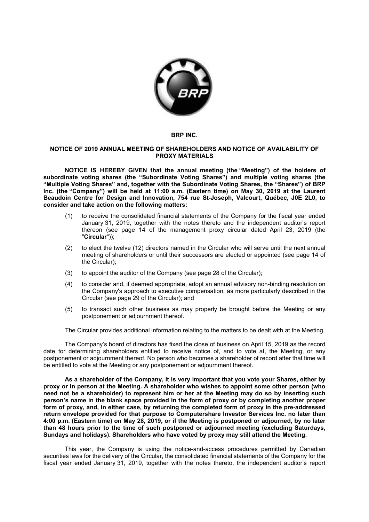

## **BRP INC.**

## **NOTICE OF 2019 ANNUAL MEETING OF SHAREHOLDERS AND NOTICE OF AVAILABILITY OF PROXY MATERIALS**

**NOTICE IS HEREBY GIVEN that the annual meeting (the "Meeting") of the holders of subordinate voting shares (the "Subordinate Voting Shares") and multiple voting shares (the "Multiple Voting Shares" and, together with the Subordinate Voting Shares, the "Shares") of BRP Inc. (the "Company") will be held at 11:00 a.m. (Eastern time) on May 30, 2019 at the Laurent Beaudoin Centre for Design and Innovation, 754 rue St-Joseph, Valcourt, Québec, J0E 2L0, to consider and take action on the following matters:** 

- (1) to receive the consolidated financial statements of the Company for the fiscal year ended January 31, 2019, together with the notes thereto and the independent auditor's report thereon (see page 14 of the management proxy circular dated April 23, 2019 (the "**Circular**"));
- (2) to elect the twelve (12) directors named in the Circular who will serve until the next annual meeting of shareholders or until their successors are elected or appointed (see page 14 of the Circular);
- (3) to appoint the auditor of the Company (see page 28 of the Circular);
- (4) to consider and, if deemed appropriate, adopt an annual advisory non-binding resolution on the Company's approach to executive compensation, as more particularly described in the Circular (see page 29 of the Circular); and
- (5) to transact such other business as may properly be brought before the Meeting or any postponement or adjournment thereof.

The Circular provides additional information relating to the matters to be dealt with at the Meeting.

The Company's board of directors has fixed the close of business on April 15, 2019 as the record date for determining shareholders entitled to receive notice of, and to vote at, the Meeting, or any postponement or adjournment thereof. No person who becomes a shareholder of record after that time will be entitled to vote at the Meeting or any postponement or adjournment thereof.

**As a shareholder of the Company, it is very important that you vote your Shares, either by proxy or in person at the Meeting. A shareholder who wishes to appoint some other person (who need not be a shareholder) to represent him or her at the Meeting may do so by inserting such person's name in the blank space provided in the form of proxy or by completing another proper form of proxy, and, in either case, by returning the completed form of proxy in the pre-addressed return envelope provided for that purpose to Computershare Investor Services Inc. no later than 4:00 p.m. (Eastern time) on May 28, 2019, or if the Meeting is postponed or adjourned, by no later than 48 hours prior to the time of such postponed or adjourned meeting (excluding Saturdays, Sundays and holidays). Shareholders who have voted by proxy may still attend the Meeting.** 

This year, the Company is using the notice-and-access procedures permitted by Canadian securities laws for the delivery of the Circular, the consolidated financial statements of the Company for the fiscal year ended January 31, 2019, together with the notes thereto, the independent auditor's report